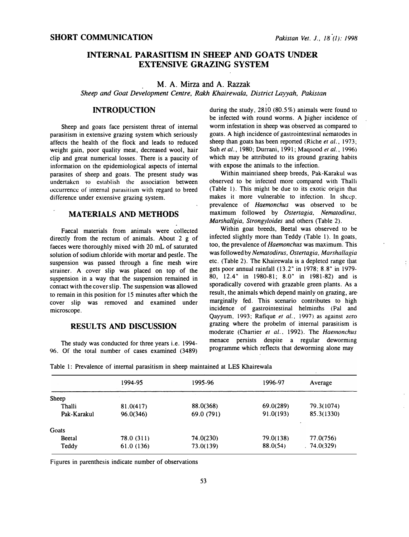# INTERNAL PARASITISM IN SHEEP AND GOATS UNDER EXTENSIVE GRAZING SYSTEM

### M. A. Mirza and A. Razzak

Sheep and Goat Development Centre, Rakh Khairewala, District Layyah, Pakistan

### **INTRODUCTION**

Sheep and goats face persistent threat of internal parasitism in extensive grazing system which seriously affects the health of the flock and leads to reduced weight gain, poor quality meat, decreased wool, hair clip and great numerical losses. There is a paucity of information on the epidemiological aspects of internal parasites of sheep and goats. The present study was undertaken to establish the association between occurrence of internal parasitism with regard to breed difference under extensive grazing system.

# MATERIALS AND METHODS

Faecal materials from animals were collected directly from the rectum of animals. About 2 g of faeces were thoroughly mixed with 20 mL of saturated solution of sodium chloride with mortar and pestle. The suspension was passed through a fine mesh wire strainer. A cover slip was placed on top of the suspension in a way that the suspension remained in contact with the cover slip. The suspension was allowed to remain in this position for 15 minutes after which the cover slip was removed and examined under microscope.

### RESULTS AND DISCUSSION

The study was conducted for three years i.e. 1994- 96. Of the total number of cases examined (3489)

during the study, 2810 (80.5%) animals were found to be infected with round worms. A higher incidence of worm infestation in sheep was observed as compared to goats. A high incidence of gastrointestinal nematodes in sheep than goats has been reported (Riche *et al.*, 1973; Suh et al., 1980; Durrani, 1991; Magsood et al., 1996) which may be attributed to its ground grazing habits with expose the animals to the infection.

Within maintianed sheep breeds, Pak-Karakul was observed to be infected more compared with Thalli (Table 1). This might be due to its exotic origin that makes it more vulnerable to infection. In sheep, prevalence of Haemonchus was observed to be maximum followed by Ostertagia, Nematodirus, Marshallgia, Strongyloides and others (Table 2).

Within goat breeds, Beetal was observed to be infected slightly more than Teddy (Table 1). In goats, too, the prevalence of Haemonchus was maximum. This was followed by Nematodirus, Ostertagia, Marshallagia etc. (Table 2). The Khairewala is a depleted range that gets poor annual rainfall (13. 2" in 1978; 8. 8" in 1979- 80, 12.4" in 1980-81; 8.0" in 1981-82) and is sporadically covered with grazable green plants. As a result, the animals which depend mainly on grazing, are marginally fed. This scenario contributes to high incidence of gastrointestinal helminths (Pal and Qayyum, 1993; Rafique et al., 1997). as against zero grazing where the probelm of internal parasitism is moderate (Chartier et al., 1992). The Haemonchus menace persists despite a regular deworming programme which reflects that deworming alone may

|              | 1994-95    | 1995-96    | 1996-97   | Average    |
|--------------|------------|------------|-----------|------------|
| <b>Sheep</b> |            |            |           |            |
| Thalli       | 81.0(417)  | 88.0(368)  | 69.0(289) | 79.3(1074) |
| Pak-Karakul  | 96.0(346)  | 69.0 (791) | 91.0(193) | 85.3(1330) |
| Goats        |            |            |           |            |
| Beetal       | 78.0 (311) | 74.0(230)  | 79.0(138) | 77.0(756)  |
| Teddy        | 61.0(136)  | 73.0(139)  | 88.0(54)  | .74.0(329) |
|              |            |            |           |            |

Table 1: Prevalence of internal parasitism in sheep maintained at LES Khairewala

Figures in parenthesis indicate number of observations